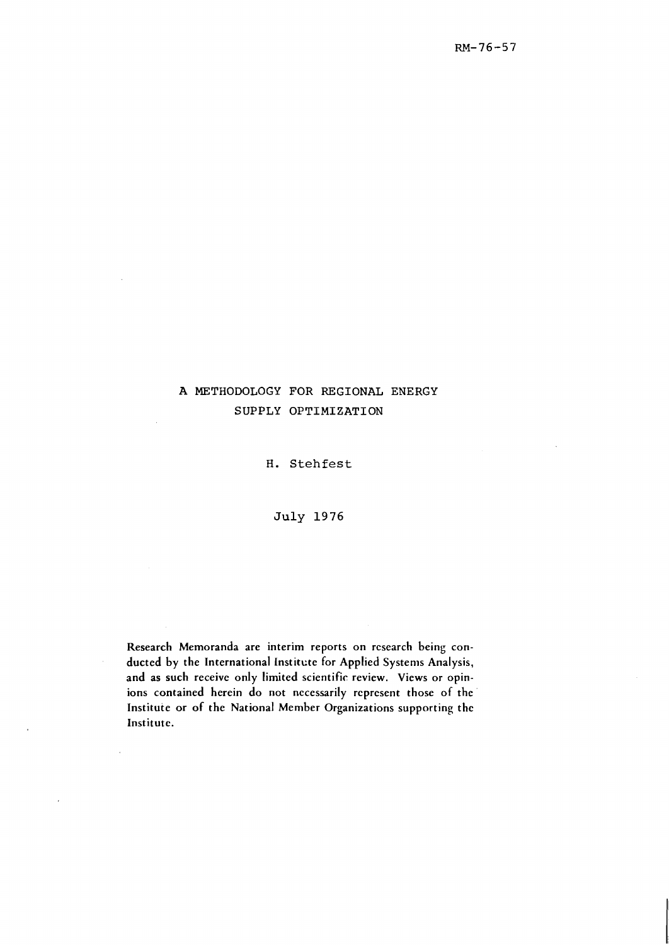# A METHODOLOGY FOR REGIONAL ENERGY SUPPLY OPTIMIZATION

H. Stehfest

**July 1976** 

**Research Memoranda are interim reports on research being con**ducted by the International Institute for Applied Systems Analysis, **and as such receive only limited scientific review. Views or opinions contained herein do not necessarily represent those of the Institute or of the National Member Organizations supporting the Institute.**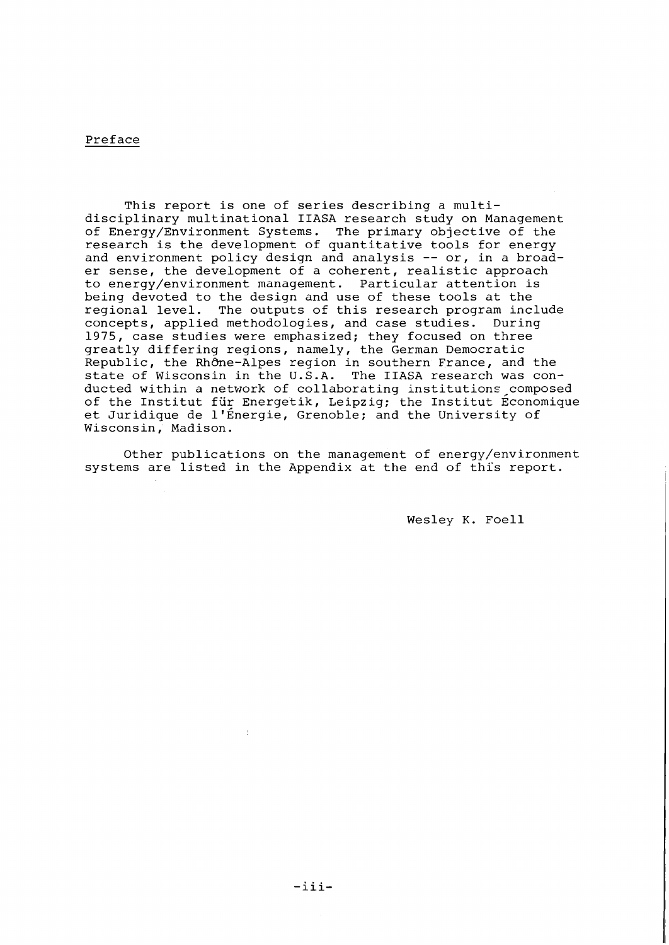# Preface

This report is one of series describing a multidisciplinary multinational IIASA research study on Management of Energy/Environment Systems. The primary objective of the research is the development of quantitative tools for energy and environment policy design and analysis -- or, in a broader sense, the development of a coherent, realistic approach to energy/environment management. Particular attention is being devoted to the design and use of these tools at the regional level. The outputs of this research program include concepts, applied methodologies, and case studies. During 1975, case studies were emphasized; they focused on three greatly differing regions, namely, the German Democratic Republic, the Rhône-Alpes region in southern France, and the state of Wisconsin in the U.S.A. The IIASA research was conducted within a network of collaborating institutions composed of the Institut für Energetik, Leipzig; the Institut Economique et Juridique de l'Énergie, Grenoble; and the University of Wisconsin, Madison.

Other publications on the management of energy/environment systems are listed in the Appendix at the end of this report.

Wesley K. Foe11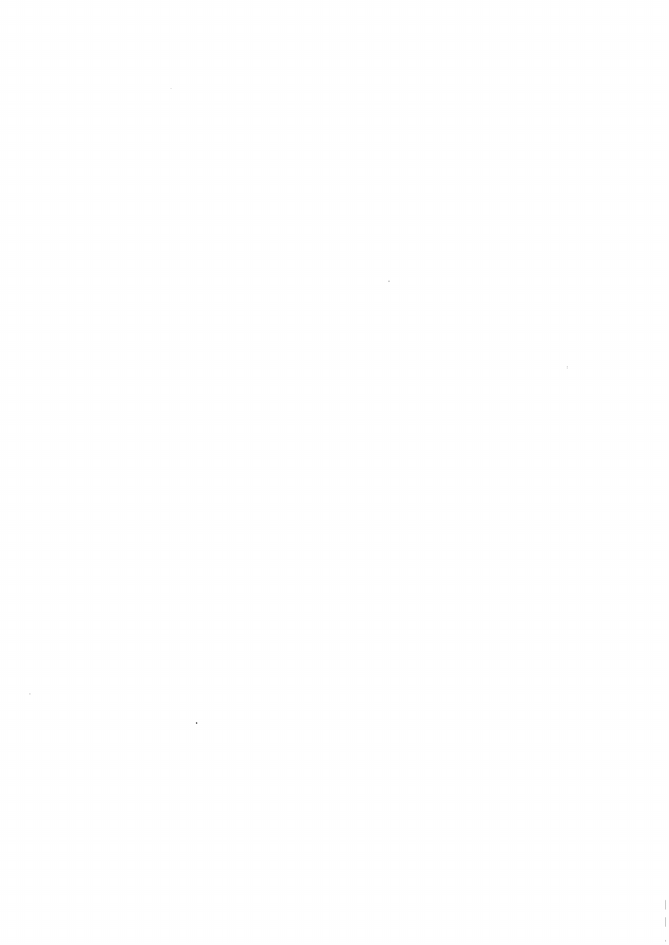$\label{eq:2.1} \frac{1}{\left\| \left( \frac{1}{\sqrt{2}} \right)^2 \right\|} \leq \frac{1}{\sqrt{2}} \sum_{i=1}^{\infty} \frac{1}{\sqrt{2}} \left( \frac{1}{\sqrt{2}} \right)^2 \leq \frac{1}{\sqrt{2}} \sum_{i=1}^{\infty} \frac{1}{\sqrt{2}} \left( \frac{1}{\sqrt{2}} \right)^2 \leq \frac{1}{\sqrt{2}} \sum_{i=1}^{\infty} \frac{1}{\sqrt{2}} \left( \frac{1}{\sqrt{2}} \right)^2 \leq \frac{1}{\sqrt{2}} \sum_{i=1}^{\infty$  $\label{eq:2} \frac{1}{2}\sum_{i=1}^n\frac{1}{2}\sum_{j=1}^n\frac{1}{2}\sum_{j=1}^n\frac{1}{2}\sum_{j=1}^n\frac{1}{2}\sum_{j=1}^n\frac{1}{2}\sum_{j=1}^n\frac{1}{2}\sum_{j=1}^n\frac{1}{2}\sum_{j=1}^n\frac{1}{2}\sum_{j=1}^n\frac{1}{2}\sum_{j=1}^n\frac{1}{2}\sum_{j=1}^n\frac{1}{2}\sum_{j=1}^n\frac{1}{2}\sum_{j=1}^n\frac{1}{2}\sum_{j=1}^n\frac{$  $\mathcal{L}(\mathcal{L}^{\mathcal{L}})$  and  $\mathcal{L}(\mathcal{L}^{\mathcal{L}})$  and  $\mathcal{L}(\mathcal{L}^{\mathcal{L}})$ 

> $\overline{\phantom{a}}$  $\begin{array}{c} \hline \end{array}$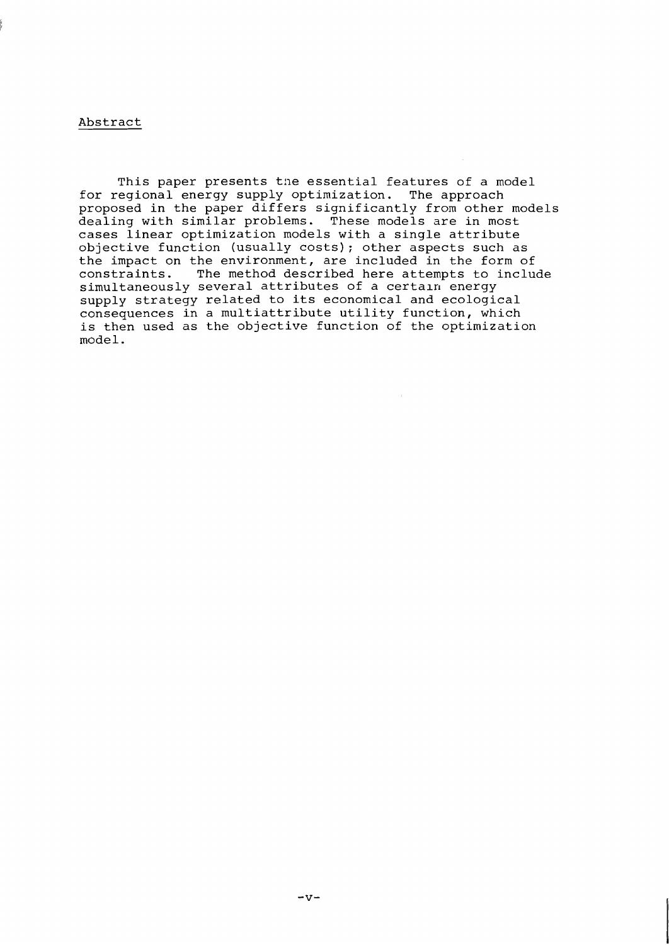#### Abstract

This paper presents tne essential features of a model for regional energy supply optimization. The approach proposed in the paper differs significantly from other models dealing with similar problems. These models are in most cases linear optimization models with a single attribute objective function (usually costs); other aspects such as the impact on the environment, are included in the form of constraints. The method described here attempts to include simultaneously several attributes of a certain energy supply strategy related to its economical and ecological consequences in a multiattribute utility function, which is then used as the objective function of the optimization model.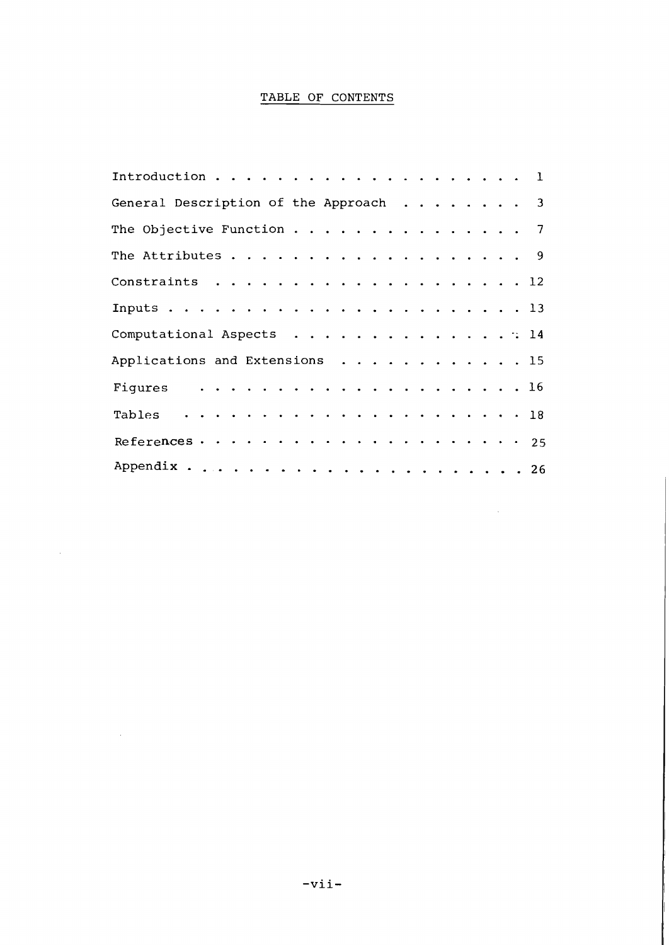# TABLE OF CONTENTS

| General Description of the Approach 3                                                          |
|------------------------------------------------------------------------------------------------|
| The Objective Function 7                                                                       |
|                                                                                                |
|                                                                                                |
|                                                                                                |
| Computational Aspects 14                                                                       |
| Applications and Extensions 15                                                                 |
|                                                                                                |
|                                                                                                |
| References $\cdots$ $\cdots$ $\cdots$ $\cdots$ $\cdots$ $\cdots$ $\cdots$ $\cdots$ $\cdots$ 25 |
|                                                                                                |

 $\sim 400$ 

 $\sim 10^{-10}$ 

 $\mathcal{L}^{\text{max}}_{\text{max}}$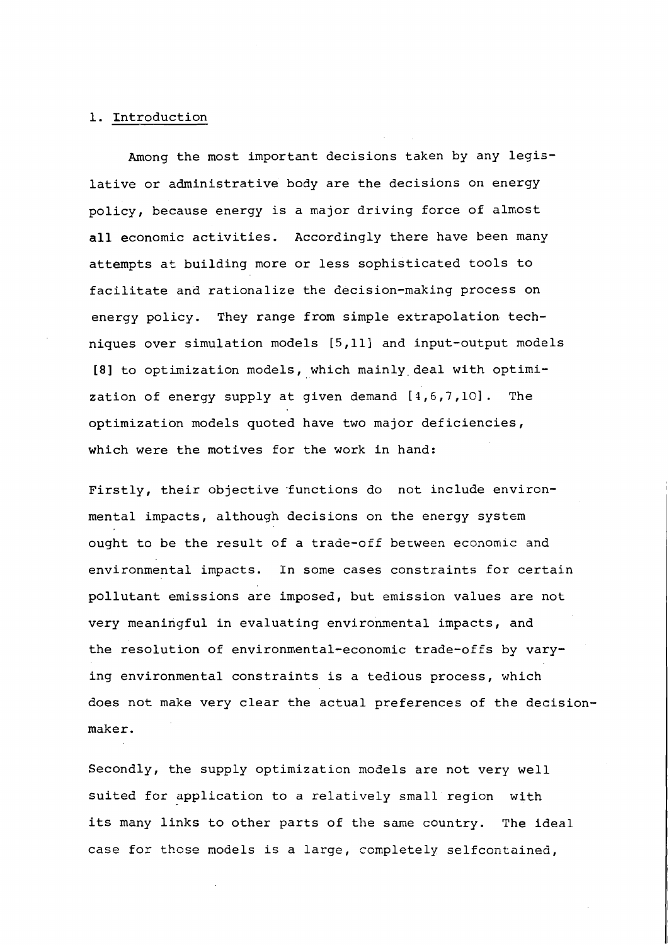#### 1. Introduction

Among the most important decisions taken by any legislative or administrative body are the decisions on energy policy, because energy is a major driving force of almost all economic activities. Accordingly there have been many attempts at building more or less sophisticated tools to facilitate and rationalize the decision-making process on energy policy. They range from simple extrapolation techniques over simulation models [5,11] and input-output models **[8]** to optimization models, which mainly,deal with optimization of energy supply at given demand  $[4,6,7,10]$ . The optimization models quoted have two major deficiencies, which were the motives for the work in hand:

Firstly, their objective functions do not include environmental impacts, although decisions on the energy system ought to be the result of a trade-off between economic and environmental impacts. In some cases constraints for certain pollutant emissions are imposed, but emission values are not very meaningful in evaluating environmental impacts, and the resolution of environmental-economic trade-offs by varying environmental constraints is a tedious process, which does not make very clear the actual preferences of the decisionmaker.

Secondly, the supply optimization models are not very well suited for application to a relatively small region with its many links to other parts of the same country. The ideal case for those models is a large, completely selfcontained,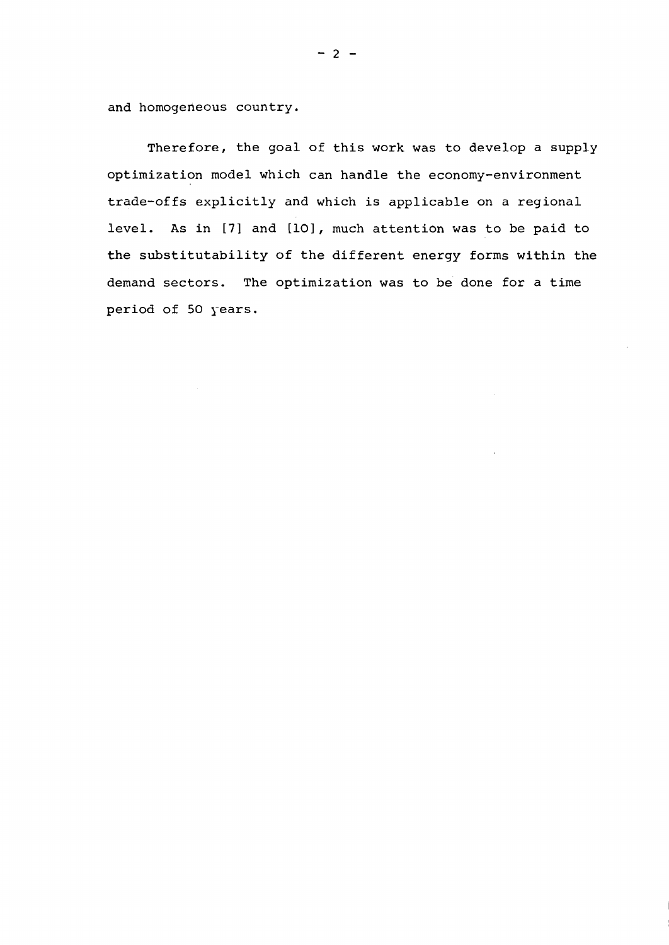and homogeneous country.

Therefore, the goal of this work was to develop a supply optimization model which can handle the economy-environment trade-offs explicitly and which is applicable on a regional level. As in 171 and [lo], much attention was to be paid to the substitutability of the different energy forms within the demand sectors. The optimization was to be done for a time period of 50 years.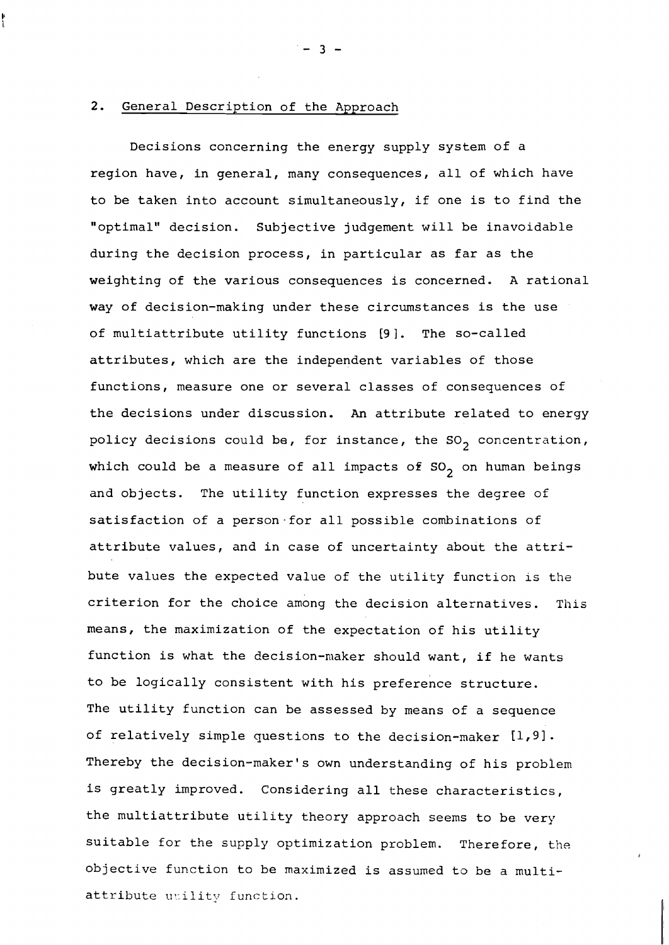#### General Description of the Approach  $2.$

Decisions concerning the energy supply system of a region have, in general, many consequences, all of which have to be taken into account simultaneously, if one is to find the "optimal" decision. Subjective judgement will be inavoidable during the decision process, in particular as far as the weighting of the various consequences is concerned. A rational way of decision-making under these circumstances is the use of multiattribute utility functions [9]. The so-called attributes, which are the independent variables of those functions, measure one or several classes of consequences of the decisions under discussion. An attribute related to energy policy decisions could be, for instance, the  $SO_2$  concentration, which could be a measure of all impacts of  $SO<sub>2</sub>$  on human beings and objects. The utility function expresses the degree of satisfaction of a person-for all possible combinations of attribute values, and in case of uncertainty about the attribute values the expected value of the utility function is the criterion for the choice among the decision alternatives. This means, the maximization of the expectation of his utility function is what the decision-maker should want, if he wants to be logically consistent with his preference structure. The utility function can be assessed by means of a sequence of relatively simple questions to the decision-maker  $[1,9]$ . Thereby the decision-maker's own understanding of his problem is greatly improved. Considering all these characteristics, the multiattribute utility theory approach seems to be very suitable for the supply optimization problem. Therefore, the objective function to be maximized is assumed to be a multiattribute utility function.

 $-3 -$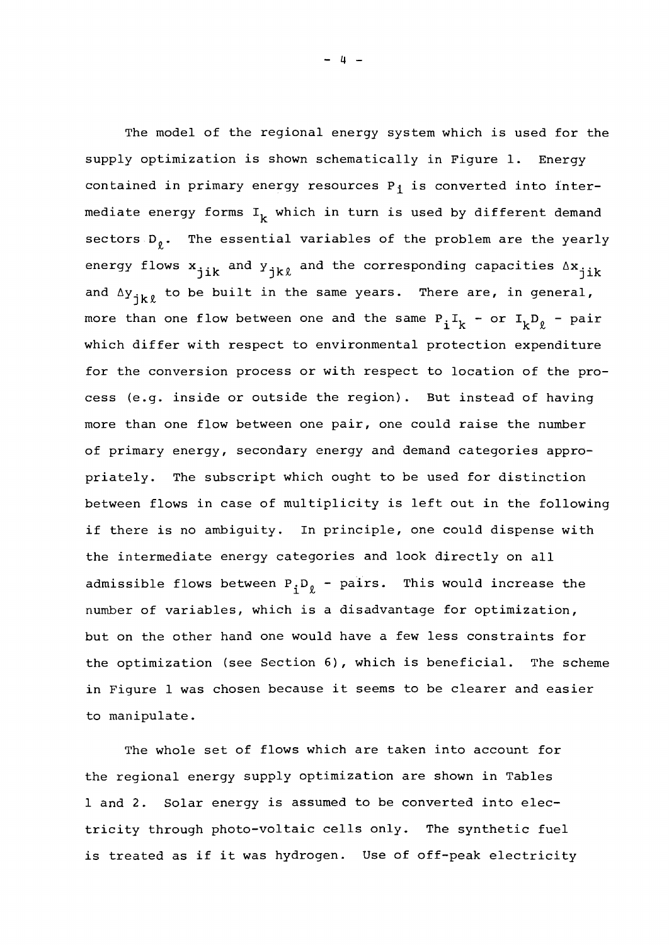The model of the regional energy system which is used for the supply optimization is shown schematically in Figure 1. Energy contained in primary energy resources  $P_i$  is converted into intermediate energy forms  $I_k$  which in turn is used by different demand sectors  $D_0$ . The essential variables of the problem are the yearly energy flows  $x_{jik}$  and  $y_{jk\ell}$  and the corresponding capacities  $\Delta x_{jik}$ and  $\Delta y$ <sub>ik</sub>g to be built in the same years. There are, in general, more than one flow between one and the same  $P_i I_k - or I_k D_\ell - pair$ which differ with respect to environmental protection expenditure for the conversion process or with respect to location of the process (e.g. inside or outside the region). But instead of having more than one flow between one pair, one could raise the number of primary energy, secondary energy and demand categories appropriately. The subscript which ought to be used for distinction between flows in case of multiplicity is left out in the following if there is no ambiguity. In principle, one could dispense with the intermediate energy categories and look directly on all admissible flows between  $P_iD_\theta$  - pairs. This would increase the number of variables, which is a disadvantage for optimization, but on the other hand one would have a few less constraints for the optimization (see Section 6), which is beneficial. The scheme in Figure 1 was chosen because it seems to be clearer and easier to manipulate.

The whole set of flows which are taken into account for the regional energy supply optimization are shown in Tables 1 and 2. Solar energy is assumed to be converted into electricity through photo-voltaic cells only. The synthetic fuel is treated as if it was hydrogen. Use of off-peak electricity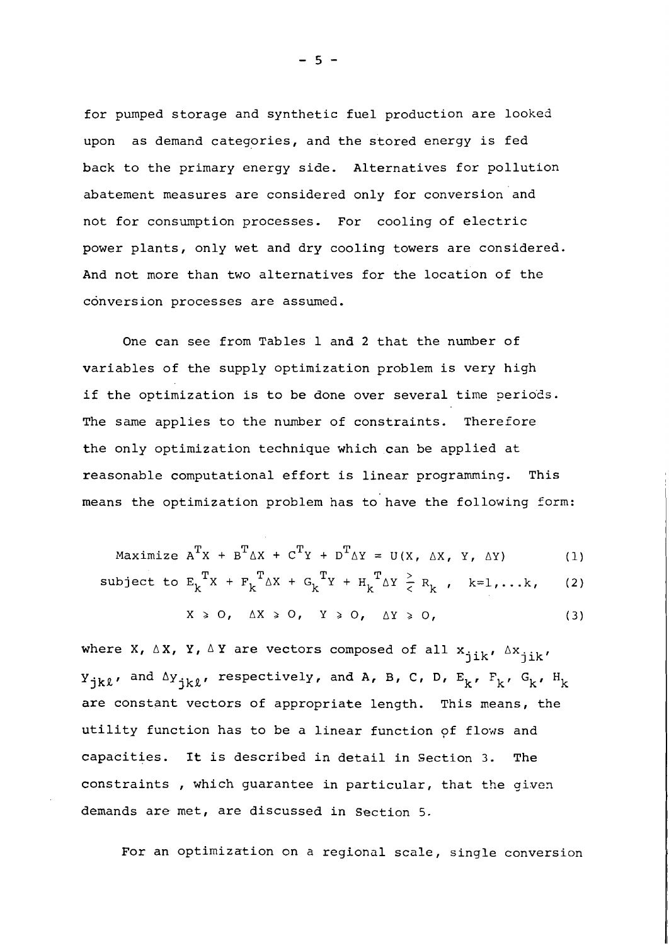for pumped storage and synthetic fuel production are looked upon as demand categories, and the stored energy is fed back to the primary energy side. Alternatives for pollution abatement measures are considered only for conversion and not for consumption processes. For cooling of electric power plants, only wet and dry cooling towers are considered. And not more than two alternatives for the location of the conversion processes are assumed.

One can see from Tables 1 and 2 that the number of variables of the supply optimization problem is very high if the optimization is to be done over several time periods. The same applies to the number of constraints. Therefore the only optimization technique which can be applied at reasonable computational effort is linear programming. This means the optimization problem has to have the following form:

$$
\text{Maximize } A^{\text{T}}X + B^{\text{T}}\Delta X + C^{\text{T}}Y + D^{\text{T}}\Delta Y = U(X, \Delta X, Y, \Delta Y) \tag{1}
$$

subject to 
$$
E_k^T X + F_k^T \Delta X + G_k^T Y + H_k^T \Delta Y \ge R_k
$$
,  $k=1,...k$ , (2)

$$
X \geq 0, \quad \Delta X \geq 0, \quad Y \geq 0, \quad \Delta Y \geq 0,
$$
 (3)

where X,  $\Delta$ X, Y,  $\Delta$ Y are vectors composed of all x<sub>jik</sub>,  $\Delta$ x<sub>jik</sub>,  $Y_{ik\ell}$ , and  $\Delta Y_{ik\ell}$ , respectively, and A, B, C, D, E<sub>k</sub>, F<sub>k</sub>, G<sub>k</sub>, H<sub>k</sub> are constant vectors of appropriate length. This means, the utility function has to be a linear function of flows and capacities. It is described in detail in Section **3.** The constraints , which guarantee in particular, that the **given**  demands are met, are discussed in Section 5.

For an optimization on a regional scale, single conversion

 $-5 -$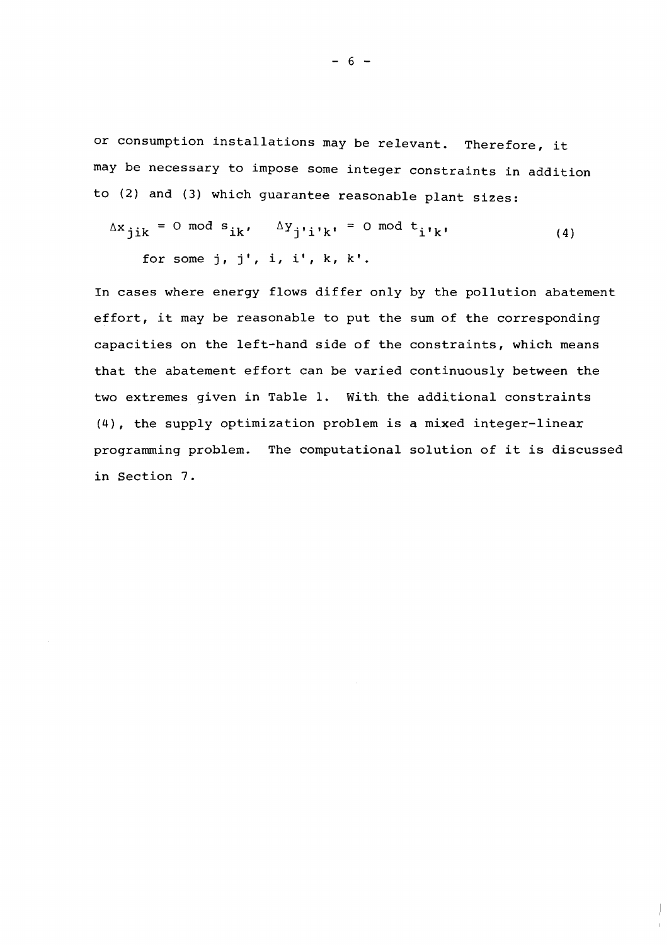or consumption installations may be relevant. Therefore, it may be necessary to impose some integer constraints in addition to (2) and **(3)** which guarantee reasonable plant sizes:

$$
\Delta x_{jik} = 0 \mod s_{ik}, \quad \Delta y_{j'i'k'} = 0 \mod t_{i'k'}
$$
\nfor some j, j', i, i', k, k'.\n
$$
(4)
$$

In cases where energy flows differ only by the pollution abatement effort, it may be reasonable to put the sum of the corresponding capacities on the left-hand side of the constraints, which means that the abatement effort can be varied continuously between the two extremes given in Table 1. With the additional constraints (4), the supply optimization problem is a mixed integer-linear programming problem. The computational solution of it is discussed in Section 7.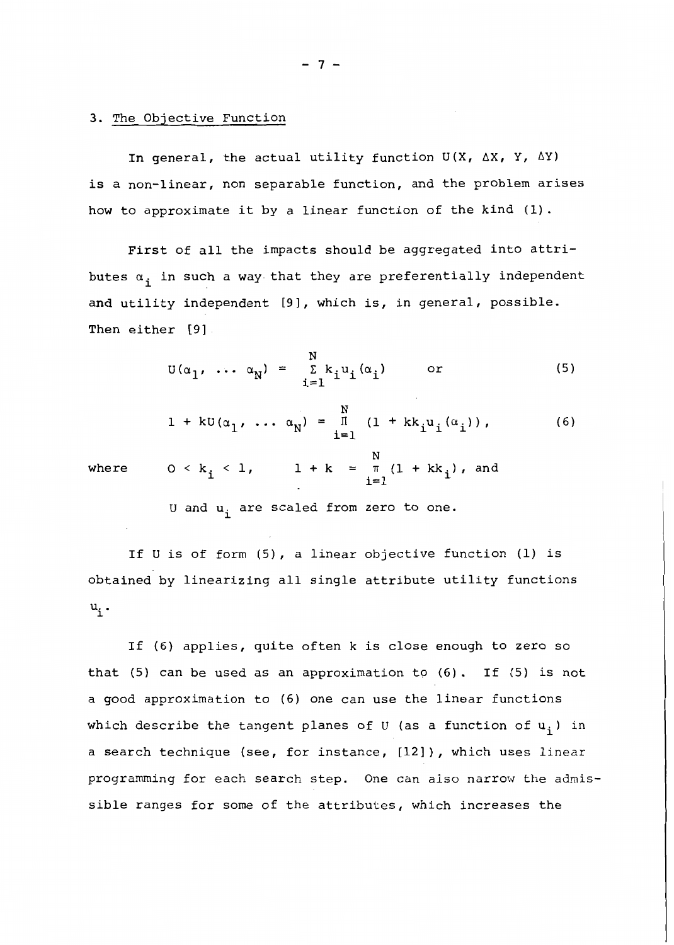## **3.** The Objective Function

In general, the actual utility function  $U(X, \Delta X, Y, \Delta Y)$ is a non-linear, non separable function, and the problem arises how to approximate it by a linear function of the kind (1).

First of all the impacts should be aggregated into attributes  $\alpha_i$  in such a way that they are preferentially independent and utility independent **[9],** which is, in general, possible. Then either [9]

$$
U(\alpha_1, \ldots \alpha_N) = \sum_{i=1}^{N} k_i u_i(\alpha_i) \qquad \text{or} \qquad (5)
$$

$$
1 + kU(\alpha_1, ..., \alpha_N) = \prod_{i=1}^{N} (1 + kk_{i}u_{i}(\alpha_i)), \qquad (6)
$$

where  $0 < k_i < 1$ ,  $1 + k = \pi (1 + k k_i)$ , and **i=** 1

U and u<sub>i</sub> are scaled from zero to one.

If U is of form (S), a linear objective function (1) is obtained by linearizing all single attribute utility functions  $u_i$ .

If (6) applies, quite often k is close enough to zero so that (5) can be used as an approximation to (6). If (5) is not a good approximation to (6) one can use the linear functions which describe the tangent planes of U (as a function of  $u_i$ ) in a search technique (see, for instance, [12]), which uses linear programming for each search step. One can also narrow the admissible ranges for some of the attributes, which increases the

 $7 -$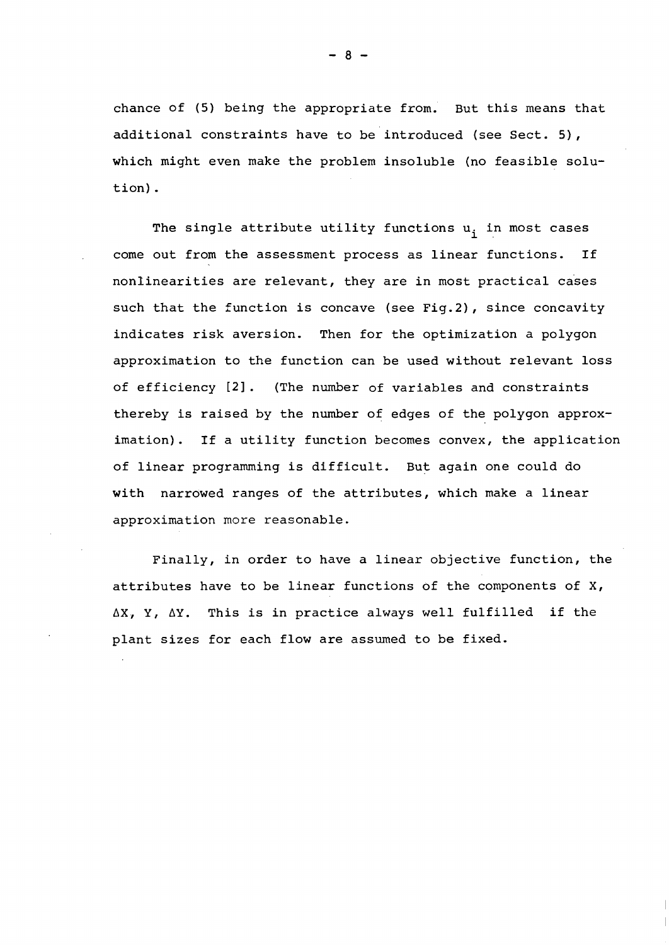chance of (5) being the appropriate from. But this means that additional constraints have to be introduced (see Sect. **5),**  which might even make the problem insoluble (no feasible solution) .

The single attribute utility functions  $u_i$  in most cases come out from the assessment process as linear functions. If nonlinearities are relevant, they are in most practical cases such that the function is concave (see Fig.2), since concavity indicates risk aversion. Then for the optimization a polygon approximation to the function can be used without relevant loss of efficiency 121. (The number of variables and constraints thereby is raised by the number of edges of the polygon approximation). If a utility function becomes convex, the application of linear programming is difficult. But again one could do with narrowed ranges of the attributes, which make a linear approximation more reasonable.

Finally, in order to have a linear objective function, the attributes have to be linear functions of the components of  $X$ , AX, Y, AY. This is in practice always well fulfilled if the plant sizes for each flow are assumed to be fixed.

 $-8 -$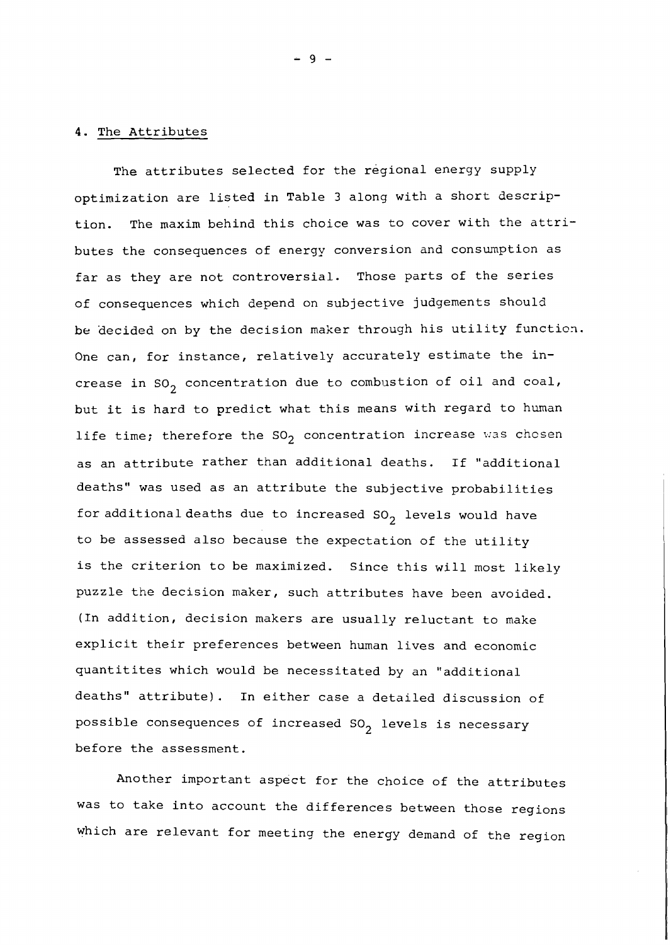#### 4. The Attributes

The attributes selected for the regional energy supply optimization are listed in Table **3** along with a short description. The maxim behind this choice was to cover with the attributes the consequences of energy conversion and consumption as far as they are not controversial. Those parts of the series of consequences which depend on subjective judgements should be decided on by the decision maker through his utility function. One can, for instance, relatively accurately estimate the increase in  $SO<sub>2</sub>$  concentration due to combustion of oil and coal, but it is hard to predict what this means with regard to human life time; therefore the  $SO_2$  concentration increase was chosen as an attribute rather than additional deaths. If "additional deaths" was used as an attribute the subjective probabilities for additional deaths due to increased  $SO<sub>2</sub>$  levels would have to be assessed also because the expectation of the utility is the criterion to be maximized. Since this will most likely puzzle the decision maker, such attributes have been avoided. (In addition, decision makers are usually reluctant to make explicit their preferences between human lives and economic quantitites which would be necessitated by an "additional deaths" attribute). In either case a detailed discussion of possible consequences of increased  ${SO}_2$  levels is necessary before the assessment.

Another important aspect for the choice of the attributes was to take into account the differences between those regions which are relevant for meeting the energy demand of the region

 $-9 -$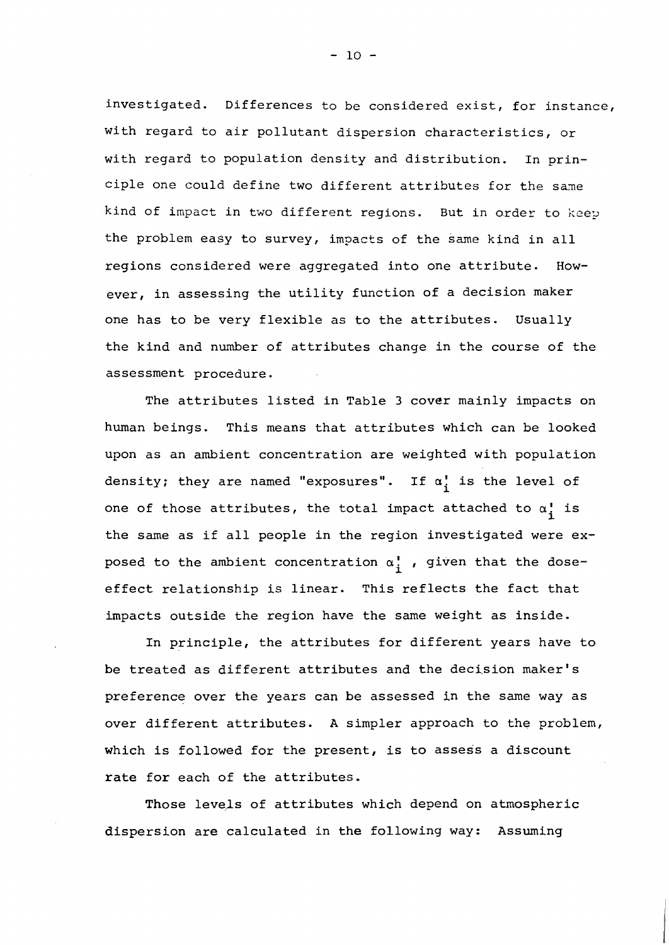investigated. Differences to be considered exist, for instance, with regard to air pollutant dispersion characteristics, or with regard to population density and distribution. In principle one could define two different attributes for the same kind of impact in two different regions. But in order to keep the problem easy to survey, impacts of the same kind in all regions considered were aggregated into one attribute. However, in assessing the utility function of a decision maker one has to be very flexible as to the attributes. Usually the kind and number of attributes change in the course of the assessment procedure.

The attributes listed in Table **3** cover mainly impacts on human beings. This means that attributes which can be looked upon as an ambient concentration are weighted with population density; they are named "exposures". If **a;** is the level of one of those attributes, the total impact attached to  $\alpha_i^*$  is the same as if all people in the region investigated were exposed to the ambient concentration  $\alpha_i^*$ , given that the doseeffect relationship is linear. This reflects the fact that impacts outside the region have the same weight as inside.

In principle, the attributes for different years have to be treated as different attributes and the decision maker's preference over the years can be assessed in the same way as over different attributes. A simpler approach to the problem, which is followed for the present, is to assess a discount rate for each of the attributes.

Those leveJs of attributes which depend on atmospheric dispersion are calculated in the following way: Assuming

 $-10 -$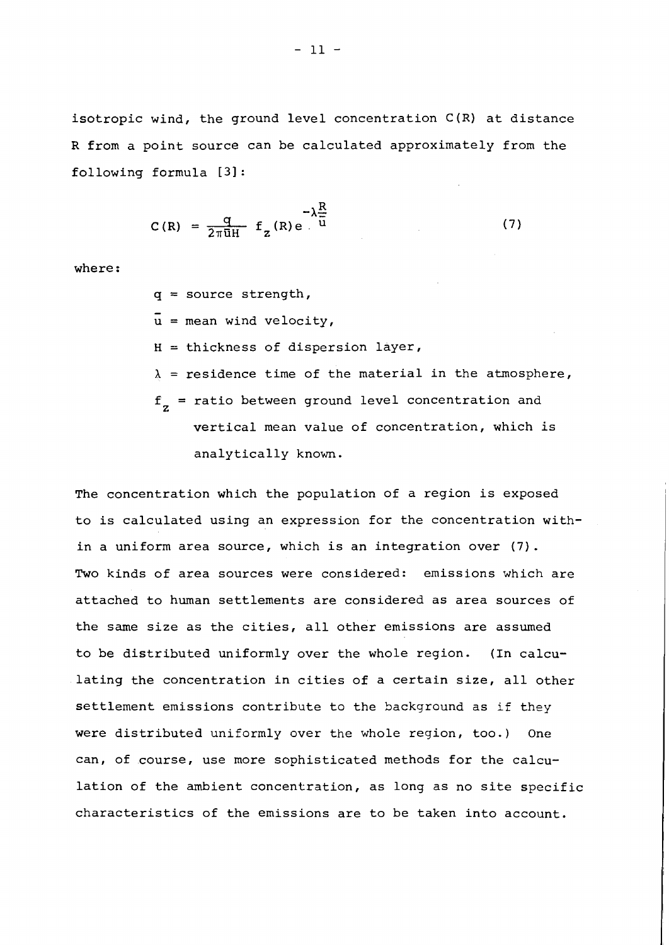isotropic wind, the ground level concentration C(R) at distance R from a point source can be calculated approximately from the following formula  $[3]$ :

$$
C(R) = \frac{q}{2\pi\bar{u}H} f_Z(R) e^{-\frac{1}{2} \frac{R}{u}}
$$
 (7)

where :

 $q = source strength,$  $\bar{u}$  = mean wind velocity,  $H =$  thickness of dispersion layer,  $\lambda$  = residence time of the material in the atmosphere, f = ratio between ground level concentration and **z**  vertical mean value of concentration, which is analytically known.

The concentration which the population of a region is exposed to is calculated using an expression for the concentration within a uniform area source, which is an integration over (7). Two kinds of area sources were considered: emissions which are attached to human settlements are considered as area sources of the same size as the cities, all other emissions are assumed to be distributed uniformly over the whole region. (In calculating the concentration in cities of a certain size, all other settlement emissions contribute to the background as if they were distributed uniformly over the whole region, too.) One can, of course, use more sophisticated methods for the calculation of the ambient concentration, as long as no site specific characteristics of the emissions are to be taken into account.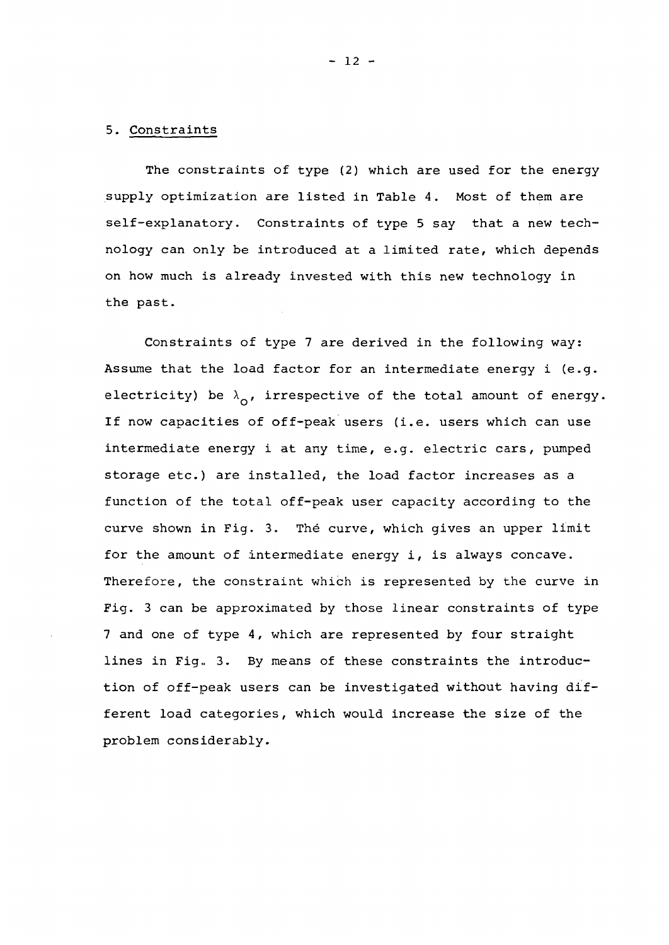# 5. Constraints

The constraints of type (2) which are used for the energy supply optimization are listed in Table 4. Most of them are self-explanatory. Constraints of type 5 say that a new technology can only be introduced at a limited rate, which depends on how much is already invested with this new technology in the past.

Constraints of type 7 are derived in the following way: Assume that the load factor for an intermediate energy i (e.g. electricity) be  $\lambda_{\alpha}$ , irrespective of the total amount of energy. If now capacities of off-peak users (i.e. users which can use intermediate energy **i** at any time, e.g. electric cars, pumped storage etc.) are installed, the load factor increases as a function of the total off-peak user capacity according to the curve shown in Fig. **3.** The curve, which gives an upper limit for the amount of intermediate energy  $i$ , is always concave. Therefore, the constraint which is represented by the curve in Fig. **3** can be approximated by those linear constraints of type 7 and one of type 4, which are represented by four straight lines in Fig, **3.** By means of these constraints the introduction of off-peak users can be investigated without having different load categories, which would increase the size of the problem considerably.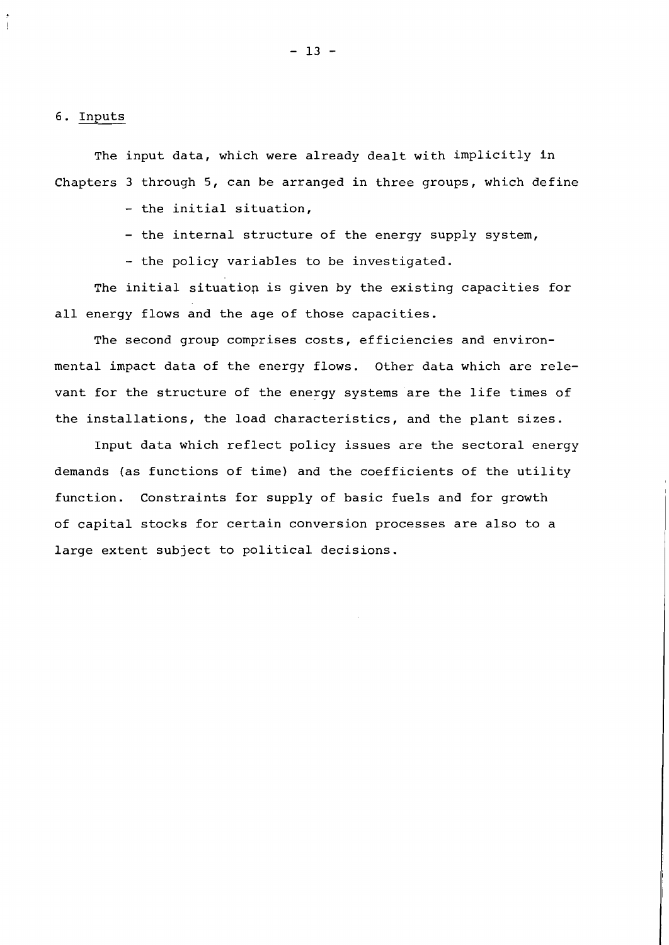# 6. Inputs

 $\overline{\mathbf{1}}$ 

The input data, which were already dealt with implicitly in Chapters *3* through 5, can be arranged in three groups, which define

- the initial situation,
- the internal structure of the energy supply system,
- the policy variables to be investigated.

The initial situation is given by the existing capacities for all energy flows and the age of those capacities.

The second group comprises costs, efficiencies and environmental impact data of the energy flows. Other data which are relevant for the structure of the energy systems are the life times of the installations, the load characteristics, and the plant sizes.

Input data which reflect policy issues are the sectoral energy demands (as functions of time) and the coefficients of the utility function. Constraints for supply of basic fuels and for growth of capital stocks for certain conversion processes are also to a large extent subject to political decisions.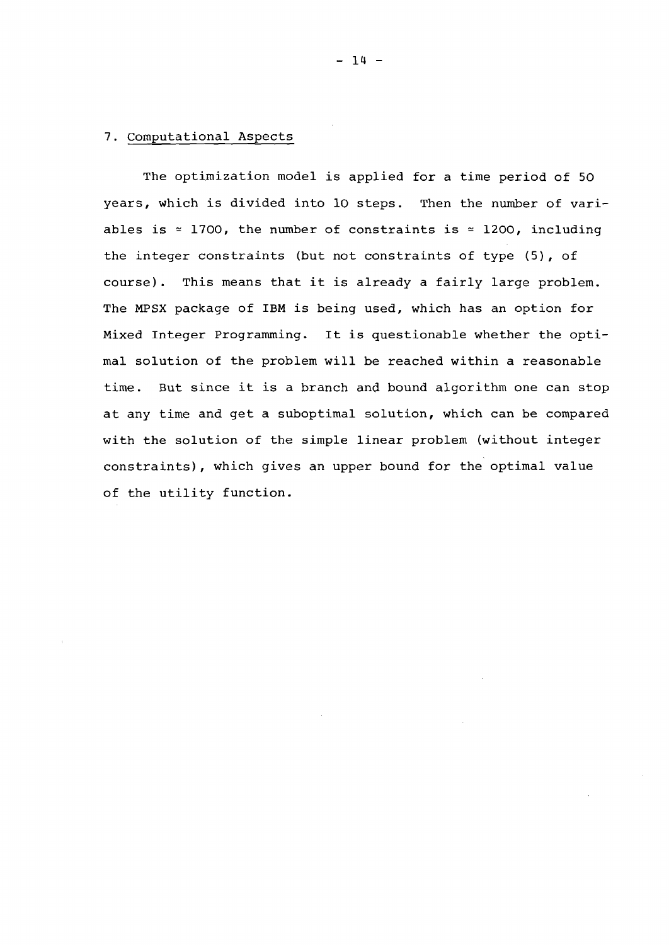## 7. Computational Aspects

The optimization model is applied for a time period of 50 years, which is divided into 10 steps. Then the number of variables is  $\approx$  1700, the number of constraints is  $\approx$  1200, including the integer constraints (but not constraints of type **(5),** of course). This means that it is already a fairly large problem. The MPSX package of IBM is being used, which has an option for Mixed Integer Programming. It is questionable whether the optimal solution of the problem will be reached within a reasonable time. But since it is a branch and bound algorithm one can stop at any time and get a suboptimal solution, which can be compared with the solution of the simple linear problem (without integer constraints), which gives an upper bound for the optimal value of the utility function.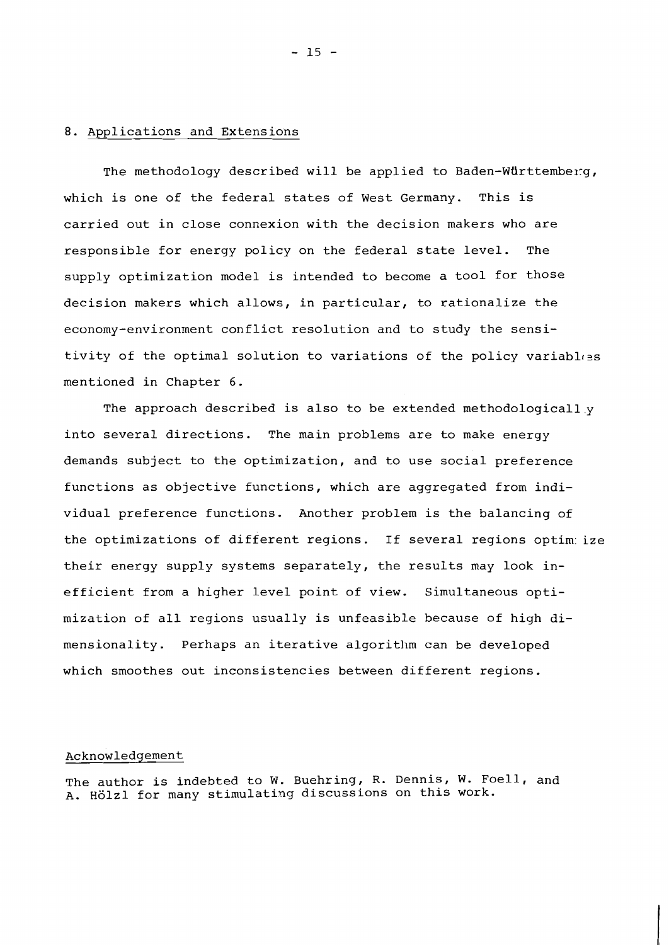## 8. Applications and Extensions

The methodology described will be applied to Baden-Wurttemberg, which is one of the federal states of West Germany. This is carried out in close connexion with the decision makers who are responsible for energy policy on the federal state level. The supply optimization model is intended to become a tool for those decision makers which allows, in particular, to rationalize the economy-environment conflict resolution and to study the sensitivity of the optimal solution to variations of the policy variables mentioned in Chapter *6.* 

The approach described is also to be extended methodologically into several directions. The main problems are to make energy demands subject to the optimization, and to use social preference functions as objective functions, which are aggregated from individual preference functions. Another problem is the balancing of the optimizations of different regions. If several regions optim: ize their energy supply systems separately, the results may look inefficient from a higher level point of view. Simultaneous optimization of all regions usually is unfeasible because of high dimensionality. Perhaps an iterative algorithm can be developed which smoothes out inconsistencies between different regions.

#### Acknowledgement

The author is indebted to W. Buehring, R. Dennis, W. Foell, and A. Hölzl for many stimulating discussions on this work.

 $-15 -$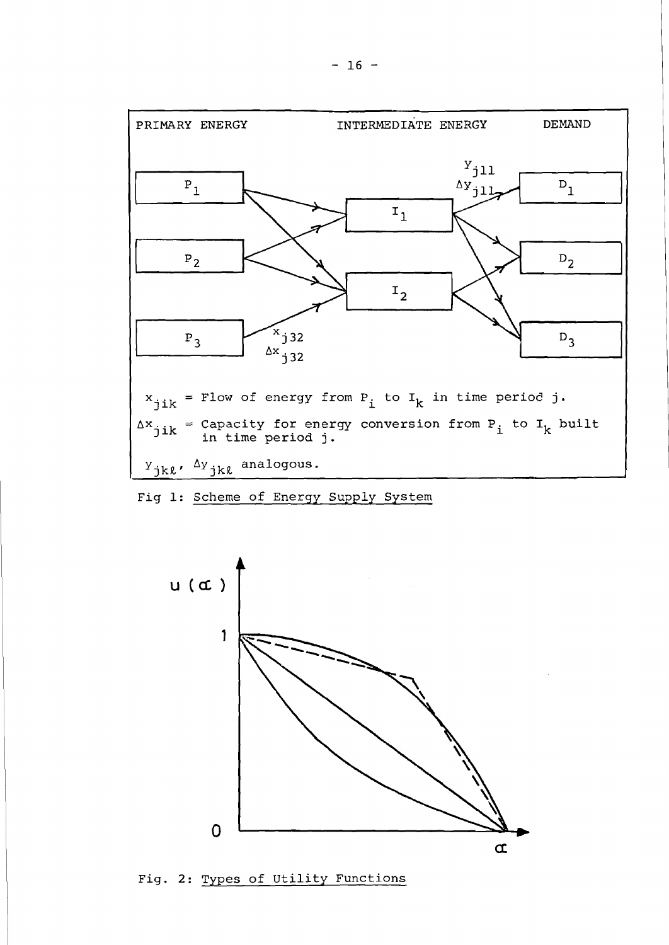

# Fig 1: Scheme of Energy Supply System



Fig. 2: Types of Utility Functions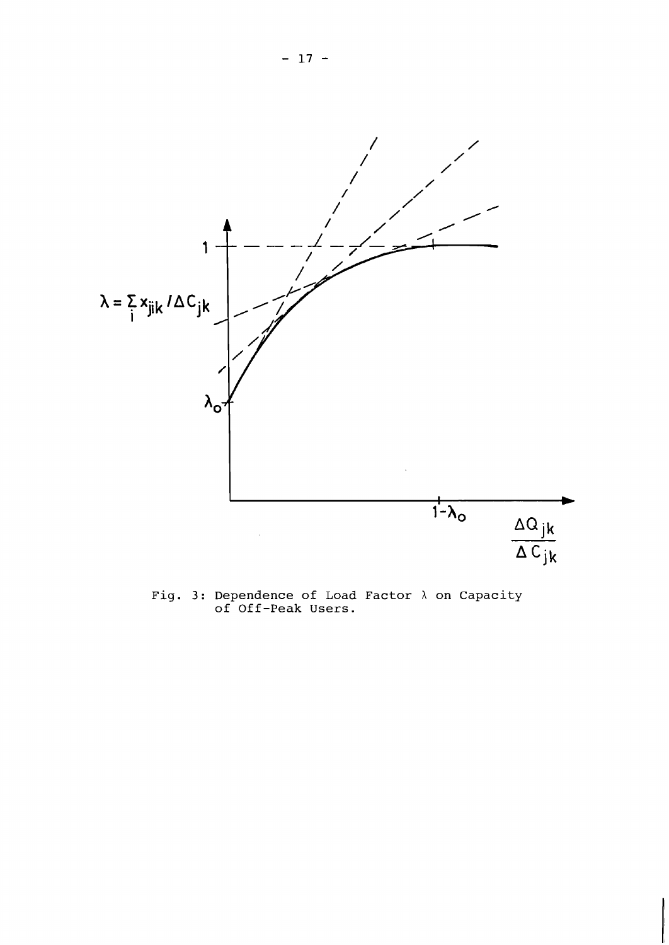

Fig. **3:** Dependence of Load Factor *h* on Capacity of Off-Peak Users.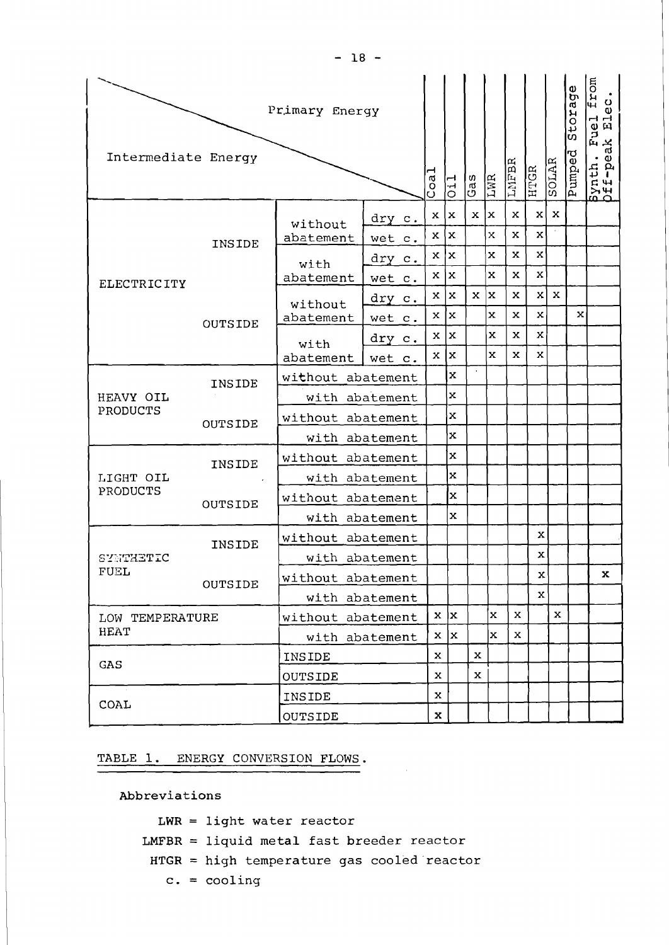| Intermediate Energy     |                                                                    | Primary Energy    |        |    | Coal         | ᆏ<br>$\vec{c}$            | Gas | LWR                | LMFBR                     | HTGR                      | <b>SOLAR</b> | Φ<br>Storag<br>Pumped | from<br>Bynth. Fuel f:<br>Off-peak Elec |
|-------------------------|--------------------------------------------------------------------|-------------------|--------|----|--------------|---------------------------|-----|--------------------|---------------------------|---------------------------|--------------|-----------------------|-----------------------------------------|
|                         |                                                                    |                   | dry c. |    | x            | x                         | x   | x                  | x                         | x                         | $\mathbf x$  |                       |                                         |
|                         | without<br>abatement<br>INSIDE<br>with<br>abatement<br>ELECTRICITY |                   | wet c. |    | x.           | x                         |     | $\mathbf x$        | x                         | $\mathbf x$               |              |                       |                                         |
|                         |                                                                    |                   | dry c. |    | $\mathbf{x}$ | X                         |     | $\mathbf x$        | x                         | x                         |              |                       |                                         |
|                         |                                                                    | wet c.            |        | x. | x            |                           | x   | x                  | $\boldsymbol{\mathsf{x}}$ |                           |              |                       |                                         |
|                         |                                                                    | without           | dry c. |    | x.           | $\boldsymbol{\mathsf{x}}$ | x.  | $\mathbf x$        | x                         | $\boldsymbol{\mathsf{x}}$ | $\mathbf x$  |                       |                                         |
|                         | OUTSIDE                                                            | abatement         | wet c. |    | $\mathbf{x}$ | x                         |     | $\mathbf x$        | x                         | x                         |              | x                     |                                         |
|                         |                                                                    | with              | dry c. |    | $\mathbf{x}$ | $\mathbf x$               |     | $\bar{\mathbf{x}}$ | x                         | $\mathbf x$               |              |                       |                                         |
|                         |                                                                    | abatement         | wet c. |    | x.           | X                         |     | X                  | x                         | X                         |              |                       |                                         |
|                         | INSIDE                                                             | without abatement |        |    |              | $\bar{\mathbf{x}}$        |     |                    |                           |                           |              |                       |                                         |
| HEAVY OIL               |                                                                    | with abatement    |        |    |              | x                         |     |                    |                           |                           |              |                       |                                         |
| PRODUCTS                | OUTSIDE                                                            | without abatement |        |    |              | X                         |     |                    |                           |                           |              |                       |                                         |
|                         |                                                                    | with abatement    |        |    | $\mathbf x$  |                           |     |                    |                           |                           |              |                       |                                         |
|                         | INSIDE                                                             | without abatement |        |    | $\mathbf x$  |                           |     |                    |                           |                           |              |                       |                                         |
| LIGHT OIL               |                                                                    | with abatement    |        |    | x            |                           |     |                    |                           |                           |              |                       |                                         |
| <b>PRODUCTS</b>         | OUTSIDE                                                            | without abatement |        |    |              | Ιx                        |     |                    |                           |                           |              |                       |                                         |
|                         |                                                                    | with abatement    |        |    | x            |                           |     |                    |                           |                           |              |                       |                                         |
|                         | INSIDE                                                             | without abatement |        |    |              |                           |     |                    |                           | $\mathbf x$               |              |                       |                                         |
| SYNTHETIC               |                                                                    | with abatement    |        |    |              |                           |     |                    |                           | x                         |              |                       |                                         |
| FUEL                    | OUTSIDE                                                            | without abatement |        |    |              |                           |     |                    |                           | X                         |              |                       | x                                       |
|                         |                                                                    | with abatement    |        |    |              |                           |     |                    |                           | X.                        |              |                       |                                         |
| LOW TEMPERATURE<br>HEAT |                                                                    | without abatement |        |    |              | x x                       |     | ix.                | x                         |                           | x            |                       |                                         |
|                         |                                                                    | with abatement    |        |    |              | x  x                      |     | x                  | x                         |                           |              |                       |                                         |
| GAS                     |                                                                    | INSIDE            |        |    | x.           |                           | x   |                    |                           |                           |              |                       |                                         |
|                         |                                                                    | OUTSIDE           |        | x  |              | x                         |     |                    |                           |                           |              |                       |                                         |
| COAL                    |                                                                    | INSIDE            |        |    | x            |                           |     |                    |                           |                           |              |                       |                                         |
|                         |                                                                    | OUTSIDE           |        |    | x            |                           |     |                    |                           |                           |              |                       |                                         |

TAELE 1. ENERGY CONVERSION FLOWS.

Abbreviations

LWR = light water reactor LMFBR = liquid metal fast breeder reactor HTGR = high temperature gas cooled'reactor  $c. = cooling$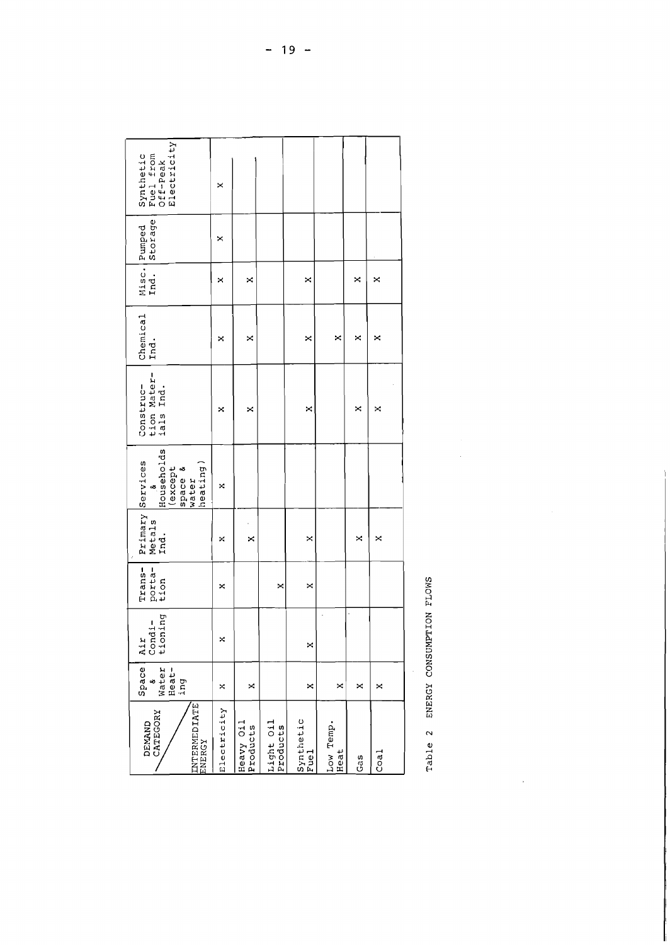| Electricity<br>Synthetic<br>Fuel from<br>Off-Peak                              | ×          |                       |                       |                   |                   |      |      |
|--------------------------------------------------------------------------------|------------|-----------------------|-----------------------|-------------------|-------------------|------|------|
| Storage<br>Misc. Pumped                                                        | ×          |                       |                       |                   |                   |      |      |
| Ind.                                                                           | ×          | ×                     |                       | ×                 |                   | ×    | ×    |
| Chemical<br>Ind.                                                               | ×          | $\times$              |                       | ×                 | $\times$          | ×    | ×    |
| tion Mater-<br>ials Ind.<br>Construc-                                          | ×          | $\times$              |                       | $\times$          |                   | ×    | ×    |
| k<br>Households<br>Primary Services<br>water<br>heating)<br>(except<br>space & | ×          |                       |                       |                   |                   |      |      |
| Metals<br>Ind.                                                                 | ×          | $\times$              |                       | ×                 |                   | ×    | ×    |
| Trans-<br>porta-<br>tion                                                       | ×          |                       | ×                     | ×                 |                   |      |      |
| Air<br>Condi-<br>tioning                                                       | ×          |                       |                       | ×                 |                   |      |      |
| Space<br>zəren<br>Aater<br>Heat-<br>put                                        | ×          | ×                     |                       | ×                 | ×                 | ×    | ×    |
| NTERMEDIATE<br>NERGY<br>CATEGORY<br>DEMAND                                     | lectricity | Jeavy Oil<br>Products | iight Oil<br>Products | Synthetic<br>Puel | .ow Temp.<br>leat | ្លឹង | 10a1 |

Table 2 ENERGY CONSUMPTION FLOWS

 $\hat{\mathcal{E}}$ 

 $\frac{1}{2}$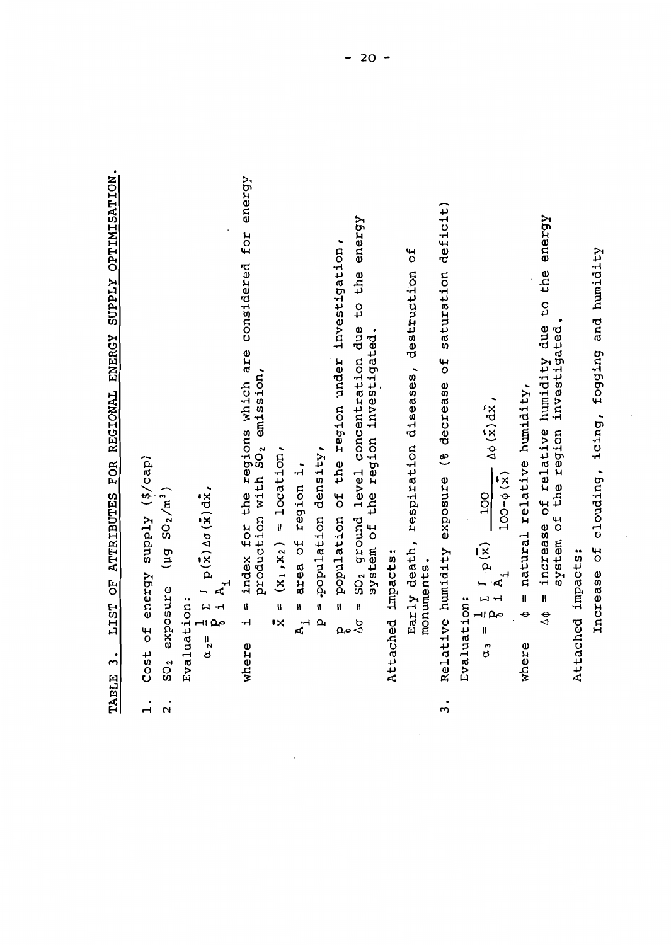

Increase of clouding, icing, fogging and humidity' Increase of clouding, icing, fogging and humidity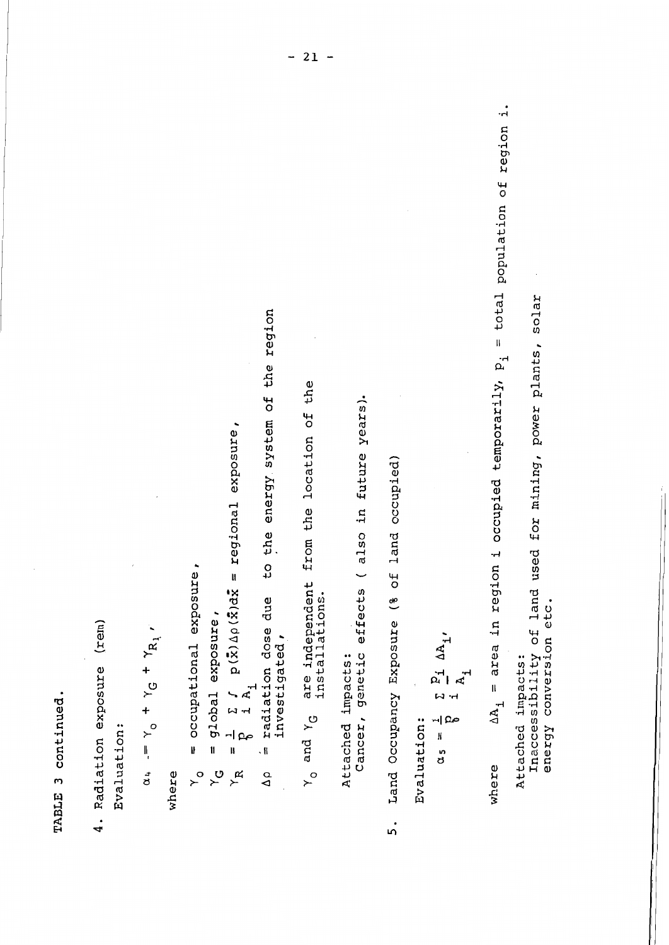TABLE 3 continued.

4. Radiation exposure (rem)

Evaluation:

 $\alpha_+$  -=  $\gamma_0$  +  $\gamma_G$  +  $\gamma_{R_1}$ ,

- to the energy system of the region  $Y_0$  and  $Y_G$  are independent from the location of the<br>installations. Attached impacts:<br>Cancer, genetic effects ( also in future years). =  $\frac{1}{5}$   $\frac{1}{1}$   $\frac{1}{2}$   $\frac{1}{2}$   $\frac{1}{2}$   $\frac{1}{2}$   $\frac{1}{2}$   $\frac{1}{2}$   $\frac{1}{2}$   $\frac{1}{2}$   $\frac{1}{2}$   $\frac{1}{2}$   $\frac{1}{2}$   $\frac{1}{2}$   $\frac{1}{2}$   $\frac{1}{2}$   $\frac{1}{2}$   $\frac{1}{2}$   $\frac$ = occupational exposure, = radiation dose due = global exposure, investigated,  $\Delta \rho$  $\zeta^{\circ}$  $\gamma$ c  $Y_{R}$ where
- Land Occupancy Exposure (% of land occupied) <u>ທ່</u>

Evaluation:

 $\begin{array}{ccc} & \text{P} & \text{P}_1 & \text{A} \text{A}_1 \\ & \text{i} & \text{A}_1 \\ & & 1 \end{array}$  $\begin{array}{c} -\frac{1}{2} & \text{if } \Omega \circ \\ \frac{1}{2} & \text{if } \Omega \circ \Omega \end{array}$ 

 $\Delta A_1$  = area in region i occupied temporarily,  $P_1$  = total population of region i. where

Inaccessibility of land used for mining, power plants, solar energy conversion etc. Attached impacts: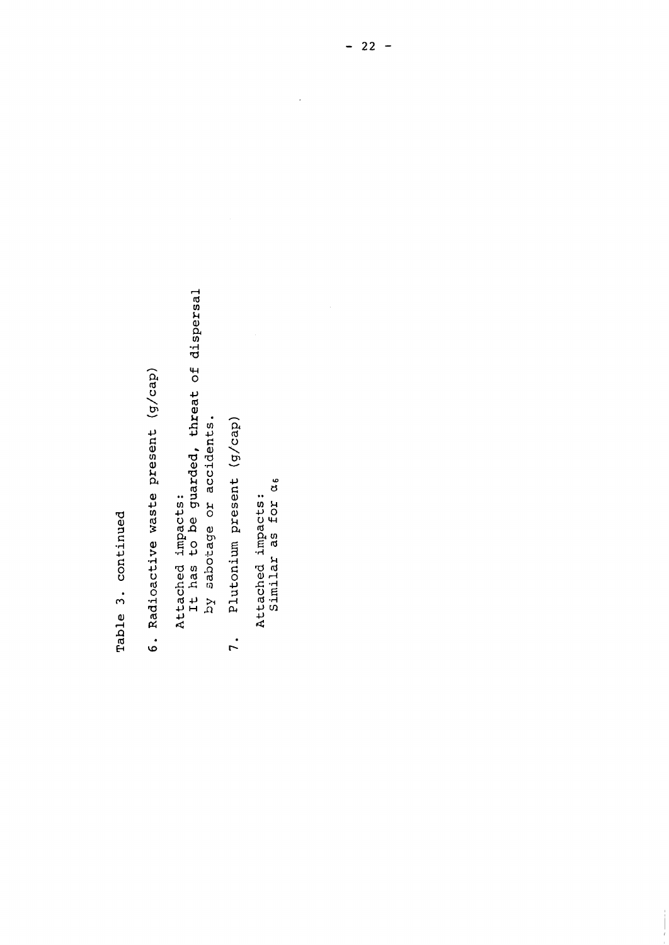Table 3. continued

6. Radioactive waste present (g/cap)

Attached impacts:<br>It has to be guarded, threat of dispersal<br>by sabotage or accidents.

7. Plutonium present (g/cap)

Attached impacts:<br>Similar as for  $\alpha_6$ 

 $\frac{1}{t}$ 

 $\ddot{\phantom{0}}$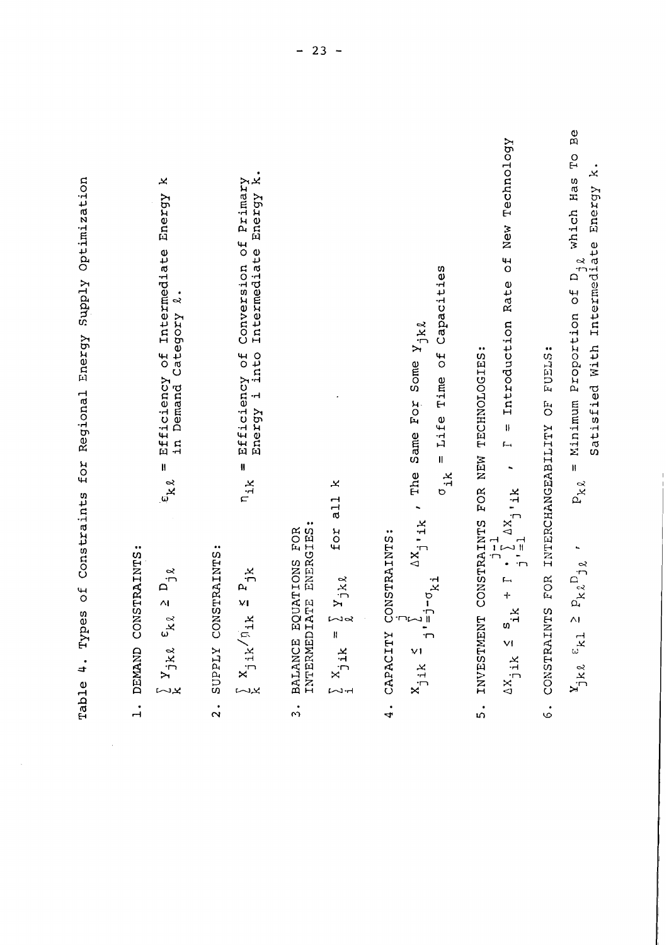

 $23 -$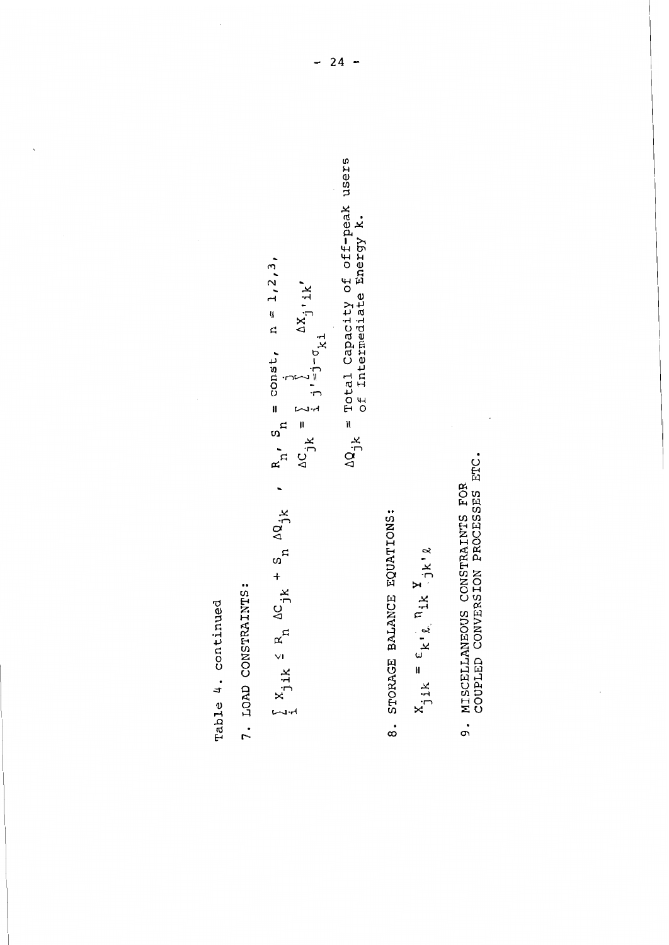

7. LOAD CONSTRAINTS:

$$
\sum_{i} X_{jik} \le R_n \Delta C_{jk} + S_n \Delta Q_{jk} \qquad R_n, S_n = const. \qquad n = 1, 2, 3,
$$
  

$$
\Delta C_{jk} = \sum_{i} \sum_{j=0}^{n} \Delta X_{j'ik'}
$$
  

$$
\Delta Q_{jk} = \text{Total capacity of off-peak users}
$$
  

$$
\Delta Q_{jk} = \text{Total capacity of off-peak users}
$$

8. STORAGE BALANCE EQUATIONS:

$$
x_{j\, \textup{ik}} = \epsilon_{k\, \textup{i}\, k} \; \eta_{\textup{i}\, k} \; x_{j\, k\, \textup{i}\, k}
$$

9. MISCELLANEOUS CONSTRAINTS FOR<br>COUPLED CONVERSION PROCESSES ETC.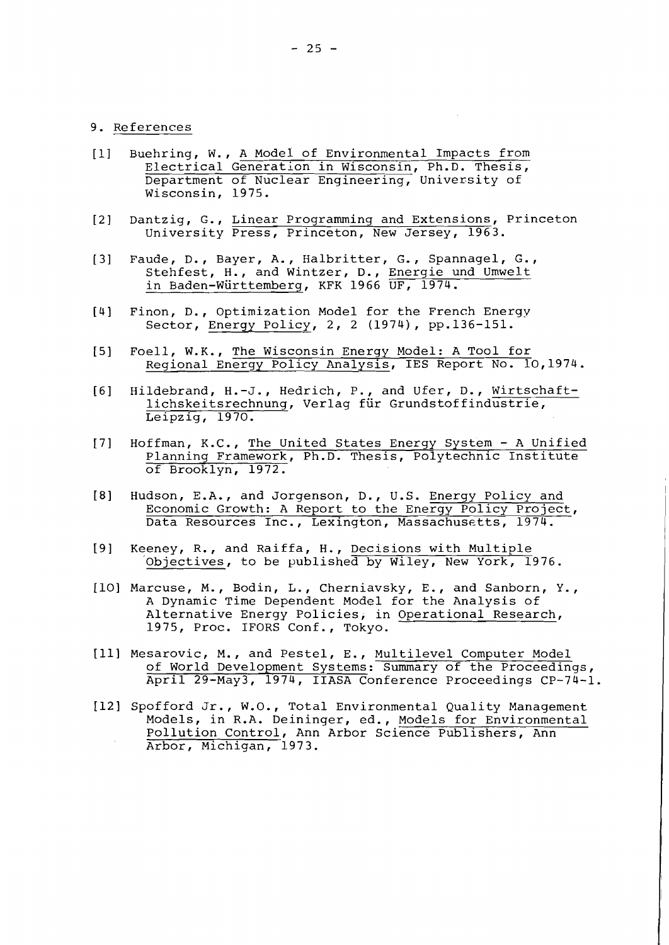#### 9. References

- [1] Buehring, W., A Model of Environmental Impacts from Electrical Generation in Wisconsin, Ph.D. Thesis, Department of Nuclear Engineering, University of Wisconsin, 1975.
- [2] Dantzig, G., Linear Programming and Extensions, Princeton University Press, Princeton, New Jersey, 1963.
- [3] Faude, D., Bayer, A., Halbritter, G., Spannagel, G., Stehfest, H., and Wintzer, D., Energie und Umwelt in Baden-Württemberg, KFK 1966 UF, 1974.
- [4] Finon, D., Optimization Model for the French Energy Sector, Energy Policy, 2, 2 (1974), pp.136-151.
- [5] Foell, W.K., The Wisconsin Energy Model: A Tool for Regional Energy Policy Analysis, IES Report No. 10,1974.
- [6] Hildebrand, H.-J., Hedrich, P., and Ufer, D., Wirtschaftlichskeitsrechnung, Verlag fiir Grundstoffindustrie, Leipzig, 1970.
- 171 Hoffman, K.C., The United States Energy System A Unified Planning Framework, Ph.D. Thesis, Polytechnic Institute of Brooklyn, 1972.
- [8] Hudson, E.A., and Jorgenson, D., U.S. Energy Policy and Economic Growth: A Report to the Energy Policy Project, Data Resources Inc., Lexington, Massachusetts, 1974.
- 191 Keeney, R., and Raiffa, H., Decisions with Multiple Objectives, to be published by Wiley, New York, 1976.
- [lo] Marcuse, M., Bodin, L., Cherniavsky, E., and Sanborn, Y., A Dynamic Time Dependent Model for the Analysis of Alternative Energy Policies, in Operational Research, 1975, Proc. IFORS Conf., Tokyo.
- [Ill Mesarovic, M., and Pestel, E., Multilevel Computer Model of World Development Systems: Summary of the Proceedings, April 29-May3, 1974, IIASA Conference Proceedings CP-74-1.
- [12] Spofford Jr., W.O., Total Environmental Quality Management Models, in R.A. Deininger, ed., Models for Environmental Pollution Control, Ann Arbor Science Publishers, Ann Arbor, Michigan, 1973.